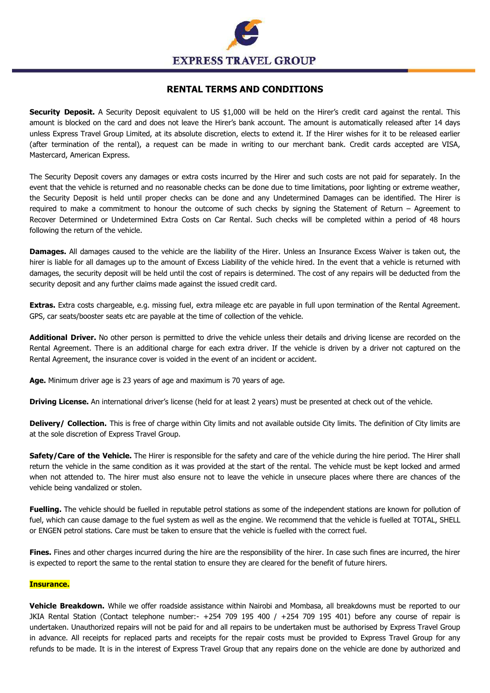

# **RENTAL TERMS AND CONDITIONS**

**Security Deposit.** A Security Deposit equivalent to US \$1,000 will be held on the Hirer's credit card against the rental. This amount is blocked on the card and does not leave the Hirer's bank account. The amount is automatically released after 14 days unless Express Travel Group Limited, at its absolute discretion, elects to extend it. If the Hirer wishes for it to be released earlier (after termination of the rental), a request can be made in writing to our merchant bank. Credit cards accepted are VISA, Mastercard, American Express.

The Security Deposit covers any damages or extra costs incurred by the Hirer and such costs are not paid for separately. In the event that the vehicle is returned and no reasonable checks can be done due to time limitations, poor lighting or extreme weather, the Security Deposit is held until proper checks can be done and any Undetermined Damages can be identified. The Hirer is required to make a commitment to honour the outcome of such checks by signing the Statement of Return – Agreement to Recover Determined or Undetermined Extra Costs on Car Rental. Such checks will be completed within a period of 48 hours following the return of the vehicle.

**Damages.** All damages caused to the vehicle are the liability of the Hirer. Unless an Insurance Excess Waiver is taken out, the hirer is liable for all damages up to the amount of Excess Liability of the vehicle hired. In the event that a vehicle is returned with damages, the security deposit will be held until the cost of repairs is determined. The cost of any repairs will be deducted from the security deposit and any further claims made against the issued credit card.

**Extras.** Extra costs chargeable, e.g. missing fuel, extra mileage etc are payable in full upon termination of the Rental Agreement. GPS, car seats/booster seats etc are payable at the time of collection of the vehicle.

**Additional Driver.** No other person is permitted to drive the vehicle unless their details and driving license are recorded on the Rental Agreement. There is an additional charge for each extra driver. If the vehicle is driven by a driver not captured on the Rental Agreement, the insurance cover is voided in the event of an incident or accident.

**Age.** Minimum driver age is 23 years of age and maximum is 70 years of age.

**Driving License.** An international driver's license (held for at least 2 years) must be presented at check out of the vehicle.

**Delivery/ Collection.** This is free of charge within City limits and not available outside City limits. The definition of City limits are at the sole discretion of Express Travel Group.

**Safety/Care of the Vehicle.** The Hirer is responsible for the safety and care of the vehicle during the hire period. The Hirer shall return the vehicle in the same condition as it was provided at the start of the rental. The vehicle must be kept locked and armed when not attended to. The hirer must also ensure not to leave the vehicle in unsecure places where there are chances of the vehicle being vandalized or stolen.

**Fuelling.** The vehicle should be fuelled in reputable petrol stations as some of the independent stations are known for pollution of fuel, which can cause damage to the fuel system as well as the engine. We recommend that the vehicle is fuelled at TOTAL, SHELL or ENGEN petrol stations. Care must be taken to ensure that the vehicle is fuelled with the correct fuel.

**Fines.** Fines and other charges incurred during the hire are the responsibility of the hirer. In case such fines are incurred, the hirer is expected to report the same to the rental station to ensure they are cleared for the benefit of future hirers.

# **Insurance.**

**Vehicle Breakdown.** While we offer roadside assistance within Nairobi and Mombasa, all breakdowns must be reported to our JKIA Rental Station (Contact telephone number:- +254 709 195 400 / +254 709 195 401) before any course of repair is undertaken. Unauthorized repairs will not be paid for and all repairs to be undertaken must be authorised by Express Travel Group in advance. All receipts for replaced parts and receipts for the repair costs must be provided to Express Travel Group for any refunds to be made. It is in the interest of Express Travel Group that any repairs done on the vehicle are done by authorized and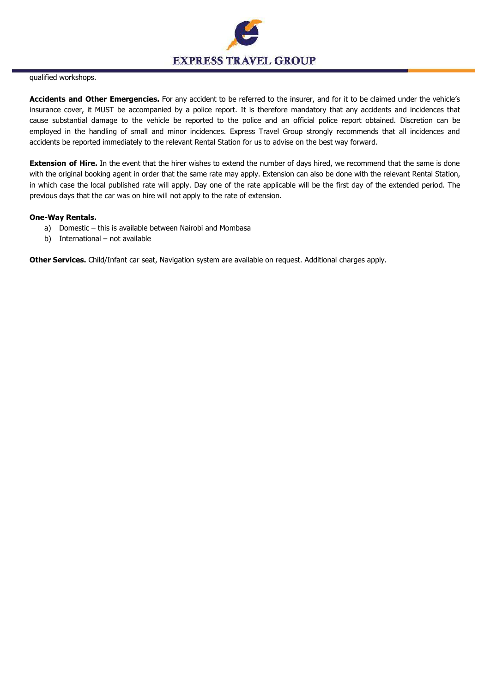

### qualified workshops.

**Accidents and Other Emergencies.** For any accident to be referred to the insurer, and for it to be claimed under the vehicle's insurance cover, it MUST be accompanied by a police report. It is therefore mandatory that any accidents and incidences that cause substantial damage to the vehicle be reported to the police and an official police report obtained. Discretion can be employed in the handling of small and minor incidences. Express Travel Group strongly recommends that all incidences and accidents be reported immediately to the relevant Rental Station for us to advise on the best way forward.

**Extension of Hire.** In the event that the hirer wishes to extend the number of days hired, we recommend that the same is done with the original booking agent in order that the same rate may apply. Extension can also be done with the relevant Rental Station, in which case the local published rate will apply. Day one of the rate applicable will be the first day of the extended period. The previous days that the car was on hire will not apply to the rate of extension.

# **One-Way Rentals.**

- a) Domestic this is available between Nairobi and Mombasa
- b) International not available

**Other Services.** Child/Infant car seat, Navigation system are available on request. Additional charges apply.